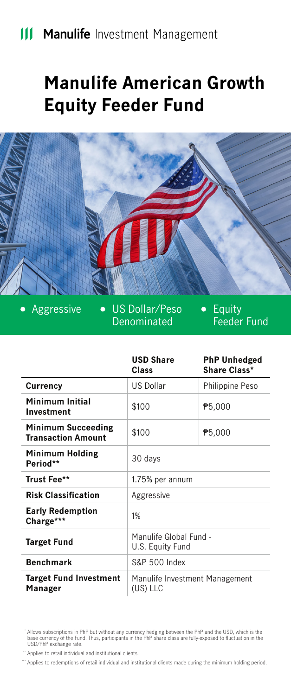# **Manulife American Growth Equity Feeder Fund**



 $\bullet$ 

Aggressive US Dollar/Peso **Denominated** 

Equity Feeder Fund

|                                                        | <b>USD Share</b><br>Class                  | <b>PhP Unhedged</b><br>Share Class* |
|--------------------------------------------------------|--------------------------------------------|-------------------------------------|
| Currency                                               | <b>US Dollar</b>                           | Philippine Peso                     |
| Minimum Initial<br>Investment                          | \$100                                      | P5,000                              |
| <b>Minimum Succeeding</b><br><b>Transaction Amount</b> | \$100                                      | P5,000                              |
| Minimum Holding<br>Period**                            | 30 days                                    |                                     |
| Trust Fee**                                            | 1.75% per annum                            |                                     |
| <b>Risk Classification</b>                             | Aggressive                                 |                                     |
| <b>Early Redemption</b><br>Charge***                   | 1%                                         |                                     |
| <b>Target Fund</b>                                     | Manulife Global Fund -<br>U.S. Equity Fund |                                     |
| <b>Benchmark</b>                                       | S&P 500 Index                              |                                     |
| <b>Target Fund Investment</b><br>Manager               | Manulife Investment Management<br>(US) LLC |                                     |

Allows subscriptions in PhP but without any currency hedging between the PhP and the USD, which is the<br>base currency of the Fund. Thus, participants in the PhP share class are fully-exposed to fluctuation in the<br>USD/PhP ex

" Applies to retail individual and institutional clients.

\*\*\*\*\* Applies to redemptions of retail individual and institutional clients made during the minimum holding period.